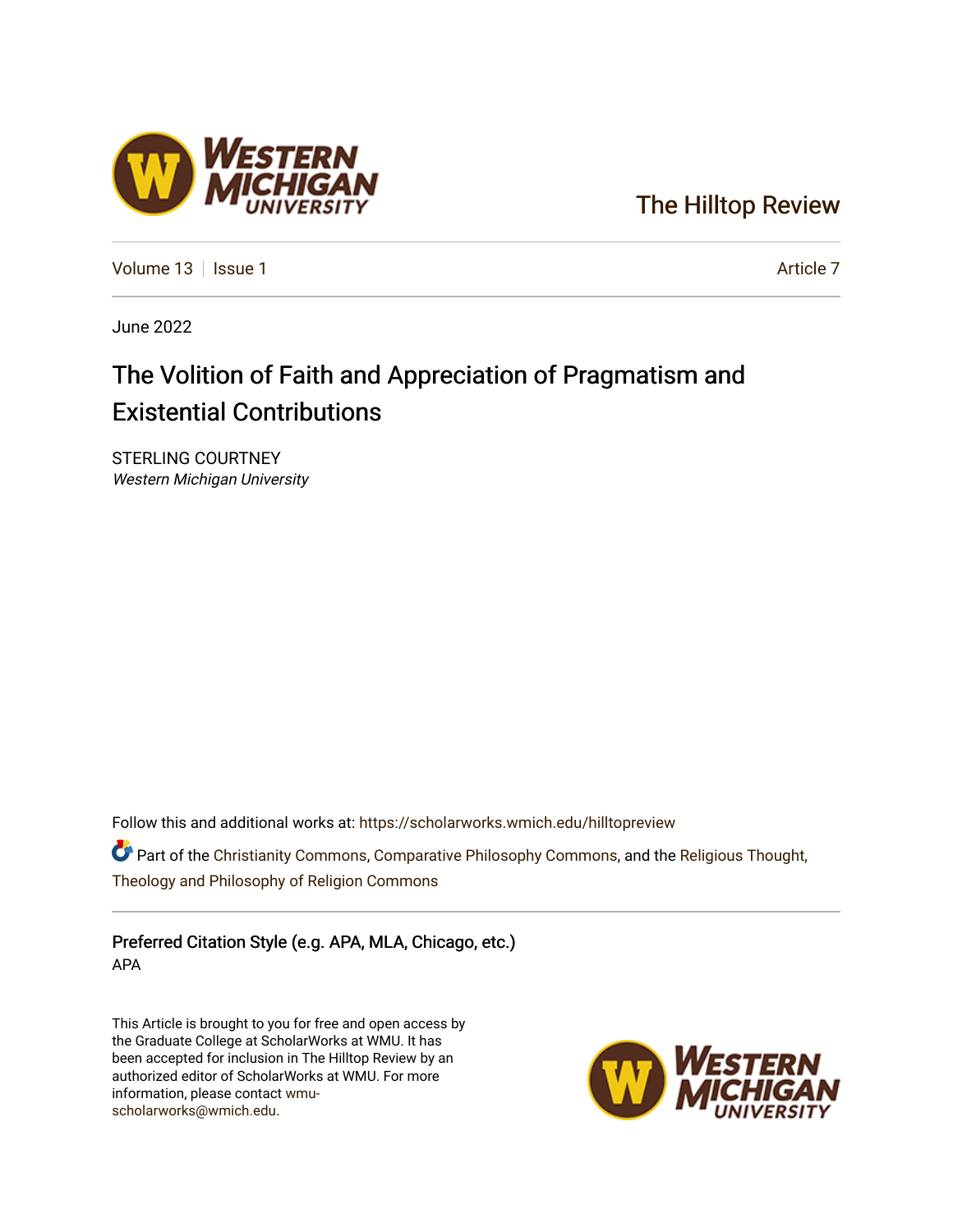### [The Hilltop Review](https://scholarworks.wmich.edu/hilltopreview)

[Volume 13](https://scholarworks.wmich.edu/hilltopreview/vol13) | [Issue 1](https://scholarworks.wmich.edu/hilltopreview/vol13/iss1) Article 7

June 2022

## The Volition of Faith and Appreciation of Pragmatism and Existential Contributions

STERLING COURTNEY Western Michigan University

Follow this and additional works at: [https://scholarworks.wmich.edu/hilltopreview](https://scholarworks.wmich.edu/hilltopreview?utm_source=scholarworks.wmich.edu%2Fhilltopreview%2Fvol13%2Fiss1%2F7&utm_medium=PDF&utm_campaign=PDFCoverPages)

**Part of the [Christianity Commons,](https://network.bepress.com/hgg/discipline/1181?utm_source=scholarworks.wmich.edu%2Fhilltopreview%2Fvol13%2Fiss1%2F7&utm_medium=PDF&utm_campaign=PDFCoverPages) [Comparative Philosophy Commons,](https://network.bepress.com/hgg/discipline/1343?utm_source=scholarworks.wmich.edu%2Fhilltopreview%2Fvol13%2Fiss1%2F7&utm_medium=PDF&utm_campaign=PDFCoverPages) and the [Religious Thought,](https://network.bepress.com/hgg/discipline/544?utm_source=scholarworks.wmich.edu%2Fhilltopreview%2Fvol13%2Fiss1%2F7&utm_medium=PDF&utm_campaign=PDFCoverPages)** [Theology and Philosophy of Religion Commons](https://network.bepress.com/hgg/discipline/544?utm_source=scholarworks.wmich.edu%2Fhilltopreview%2Fvol13%2Fiss1%2F7&utm_medium=PDF&utm_campaign=PDFCoverPages) 

Preferred Citation Style (e.g. APA, MLA, Chicago, etc.) APA

This Article is brought to you for free and open access by the Graduate College at ScholarWorks at WMU. It has been accepted for inclusion in The Hilltop Review by an authorized editor of ScholarWorks at WMU. For more information, please contact [wmu](mailto:wmu-scholarworks@wmich.edu)[scholarworks@wmich.edu.](mailto:wmu-scholarworks@wmich.edu)



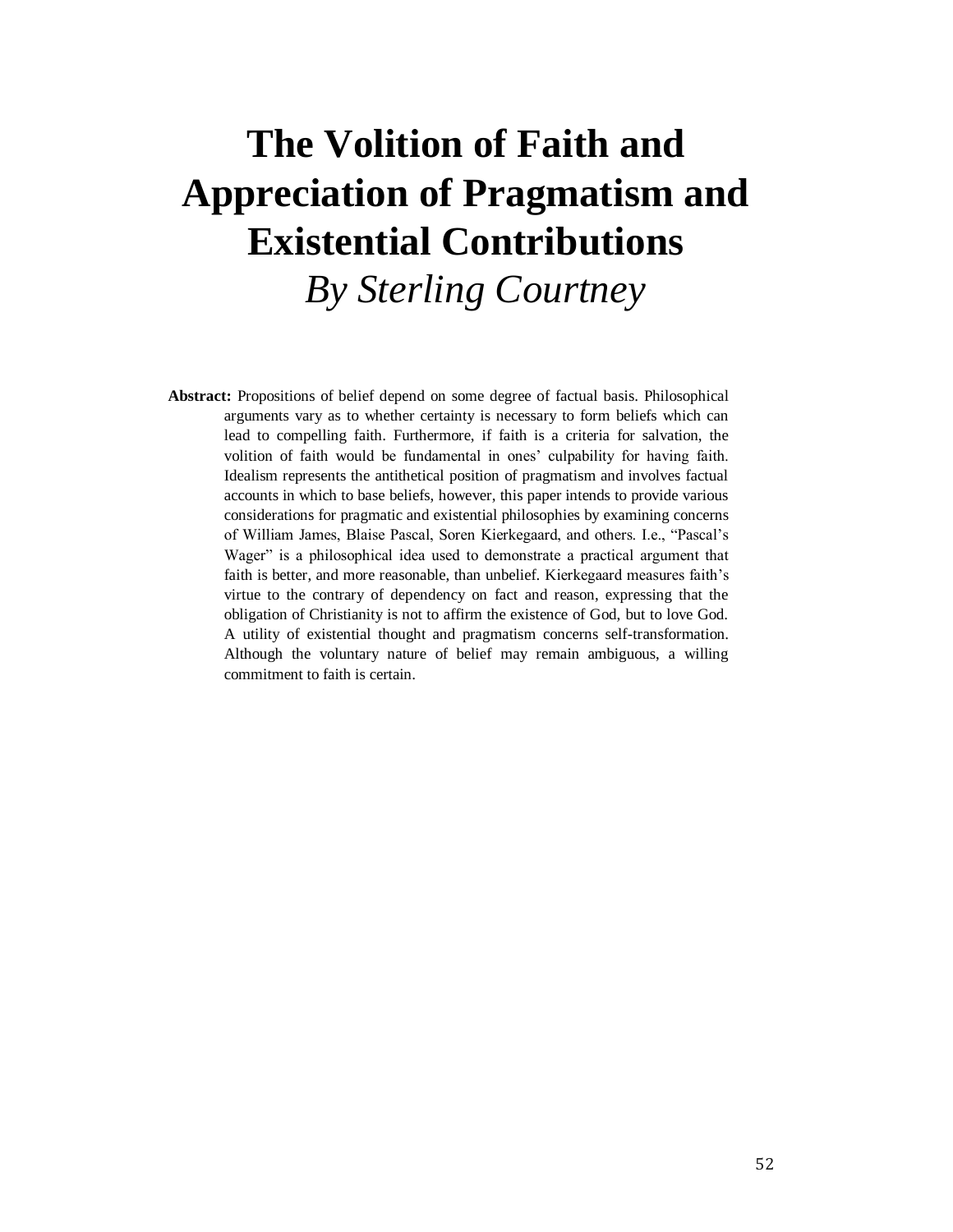# **The Volition of Faith and Appreciation of Pragmatism and Existential Contributions** *By Sterling Courtney*

**Abstract:** Propositions of belief depend on some degree of factual basis. Philosophical arguments vary as to whether certainty is necessary to form beliefs which can lead to compelling faith. Furthermore, if faith is a criteria for salvation, the volition of faith would be fundamental in ones' culpability for having faith. Idealism represents the antithetical position of pragmatism and involves factual accounts in which to base beliefs, however, this paper intends to provide various considerations for pragmatic and existential philosophies by examining concerns of William James, Blaise Pascal, Soren Kierkegaard, and others. I.e., "Pascal's Wager" is a philosophical idea used to demonstrate a practical argument that faith is better, and more reasonable, than unbelief. Kierkegaard measures faith's virtue to the contrary of dependency on fact and reason, expressing that the obligation of Christianity is not to affirm the existence of God, but to love God. A utility of existential thought and pragmatism concerns self-transformation. Although the voluntary nature of belief may remain ambiguous, a willing commitment to faith is certain.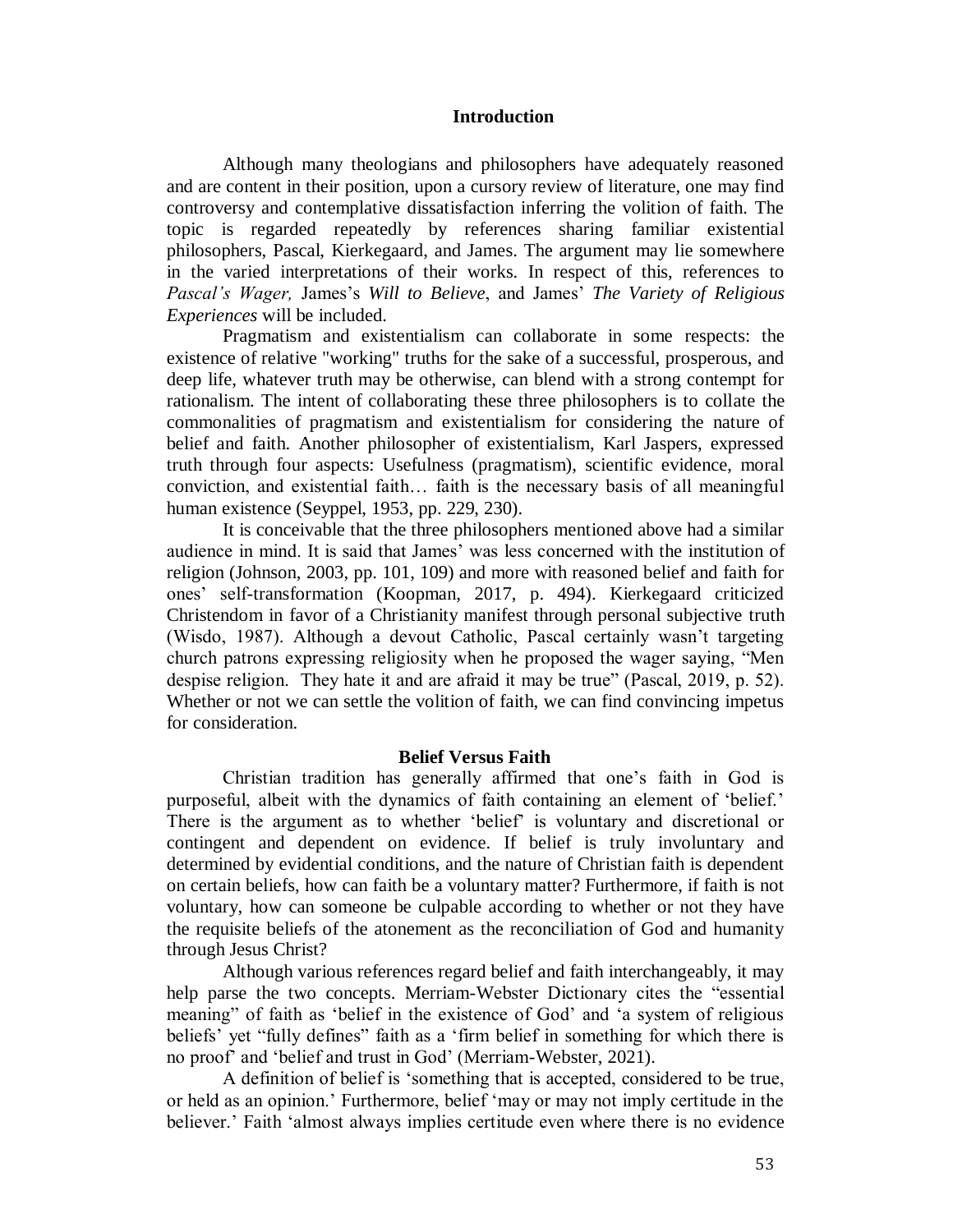#### **Introduction**

Although many theologians and philosophers have adequately reasoned and are content in their position, upon a cursory review of literature, one may find controversy and contemplative dissatisfaction inferring the volition of faith. The topic is regarded repeatedly by references sharing familiar existential philosophers, Pascal, Kierkegaard, and James. The argument may lie somewhere in the varied interpretations of their works. In respect of this, references to *Pascal's Wager,* James's *Will to Believe*, and James' *The Variety of Religious Experiences* will be included.

Pragmatism and existentialism can collaborate in some respects: the existence of relative "working" truths for the sake of a successful, prosperous, and deep life, whatever truth may be otherwise, can blend with a strong contempt for rationalism. The intent of collaborating these three philosophers is to collate the commonalities of pragmatism and existentialism for considering the nature of belief and faith. Another philosopher of existentialism, Karl Jaspers, expressed truth through four aspects: Usefulness (pragmatism), scientific evidence, moral conviction, and existential faith… faith is the necessary basis of all meaningful human existence (Seyppel, 1953, pp. 229, 230).

It is conceivable that the three philosophers mentioned above had a similar audience in mind. It is said that James' was less concerned with the institution of religion (Johnson, 2003, pp. 101, 109) and more with reasoned belief and faith for ones' self-transformation (Koopman, 2017, p. 494). Kierkegaard criticized Christendom in favor of a Christianity manifest through personal subjective truth (Wisdo, 1987). Although a devout Catholic, Pascal certainly wasn't targeting church patrons expressing religiosity when he proposed the wager saying, "Men despise religion. They hate it and are afraid it may be true" (Pascal, 2019, p. 52). Whether or not we can settle the volition of faith, we can find convincing impetus for consideration.

#### **Belief Versus Faith**

Christian tradition has generally affirmed that one's faith in God is purposeful, albeit with the dynamics of faith containing an element of 'belief.' There is the argument as to whether 'belief' is voluntary and discretional or contingent and dependent on evidence. If belief is truly involuntary and determined by evidential conditions, and the nature of Christian faith is dependent on certain beliefs, how can faith be a voluntary matter? Furthermore, if faith is not voluntary, how can someone be culpable according to whether or not they have the requisite beliefs of the atonement as the reconciliation of God and humanity through Jesus Christ?

Although various references regard belief and faith interchangeably, it may help parse the two concepts. Merriam-Webster Dictionary cites the "essential meaning" of faith as 'belief in the existence of God' and 'a system of religious beliefs' yet "fully defines" faith as a 'firm belief in something for which there is no proof' and 'belief and trust in God' (Merriam-Webster, 2021).

A definition of belief is 'something that is accepted, considered to be true, or held as an opinion.' Furthermore, belief 'may or may not imply certitude in the believer.' Faith 'almost always implies certitude even where there is no evidence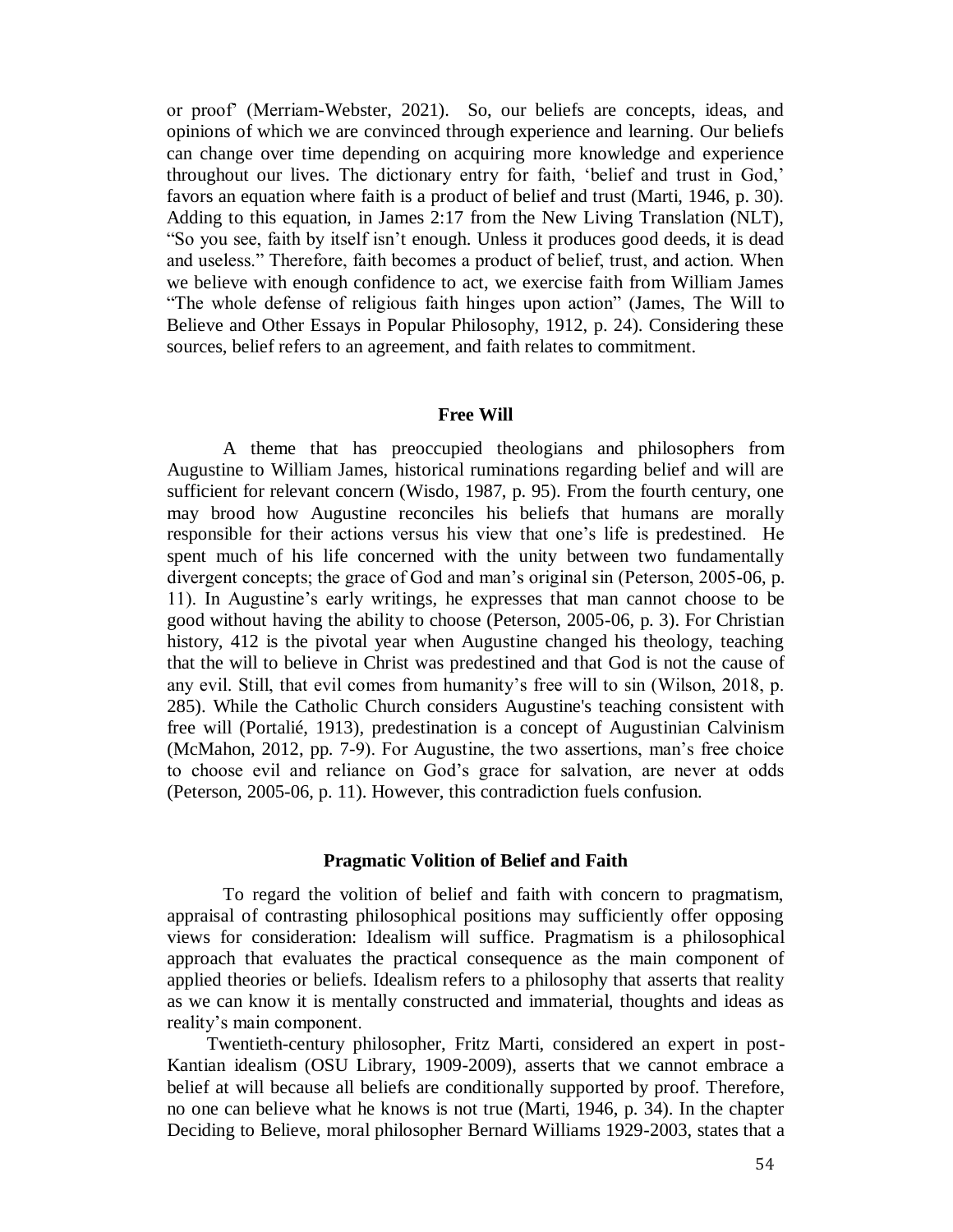or proof' (Merriam-Webster, 2021). So, our beliefs are concepts, ideas, and opinions of which we are convinced through experience and learning. Our beliefs can change over time depending on acquiring more knowledge and experience throughout our lives. The dictionary entry for faith, 'belief and trust in God,' favors an equation where faith is a product of belief and trust (Marti, 1946, p. 30). Adding to this equation, in James 2:17 from the New Living Translation (NLT), "So you see, faith by itself isn't enough. Unless it produces good deeds, it is dead and useless." Therefore, faith becomes a product of belief, trust, and action. When we believe with enough confidence to act, we exercise faith from William James "The whole defense of religious faith hinges upon action" (James, The Will to Believe and Other Essays in Popular Philosophy, 1912, p. 24). Considering these sources, belief refers to an agreement, and faith relates to commitment.

#### **Free Will**

A theme that has preoccupied theologians and philosophers from Augustine to William James, historical ruminations regarding belief and will are sufficient for relevant concern (Wisdo, 1987, p. 95). From the fourth century, one may brood how Augustine reconciles his beliefs that humans are morally responsible for their actions versus his view that one's life is predestined. He spent much of his life concerned with the unity between two fundamentally divergent concepts; the grace of God and man's original sin (Peterson, 2005-06, p. 11). In Augustine's early writings, he expresses that man cannot choose to be good without having the ability to choose (Peterson, 2005-06, p. 3). For Christian history, 412 is the pivotal year when Augustine changed his theology, teaching that the will to believe in Christ was predestined and that God is not the cause of any evil. Still, that evil comes from humanity's free will to sin (Wilson, 2018, p. 285). While the Catholic Church considers Augustine's teaching consistent with free will (Portalié, 1913), predestination is a concept of Augustinian Calvinism (McMahon, 2012, pp. 7-9). For Augustine, the two assertions, man's free choice to choose evil and reliance on God's grace for salvation, are never at odds (Peterson, 2005-06, p. 11). However, this contradiction fuels confusion.

#### **Pragmatic Volition of Belief and Faith**

To regard the volition of belief and faith with concern to pragmatism, appraisal of contrasting philosophical positions may sufficiently offer opposing views for consideration: Idealism will suffice. Pragmatism is a philosophical approach that evaluates the practical consequence as the main component of applied theories or beliefs. Idealism refers to a philosophy that asserts that reality as we can know it is mentally constructed and immaterial, thoughts and ideas as reality's main component.

Twentieth-century philosopher, Fritz Marti, considered an expert in post-Kantian idealism (OSU Library, 1909-2009), asserts that we cannot embrace a belief at will because all beliefs are conditionally supported by proof. Therefore, no one can believe what he knows is not true (Marti, 1946, p. 34). In the chapter Deciding to Believe, moral philosopher Bernard Williams 1929-2003, states that a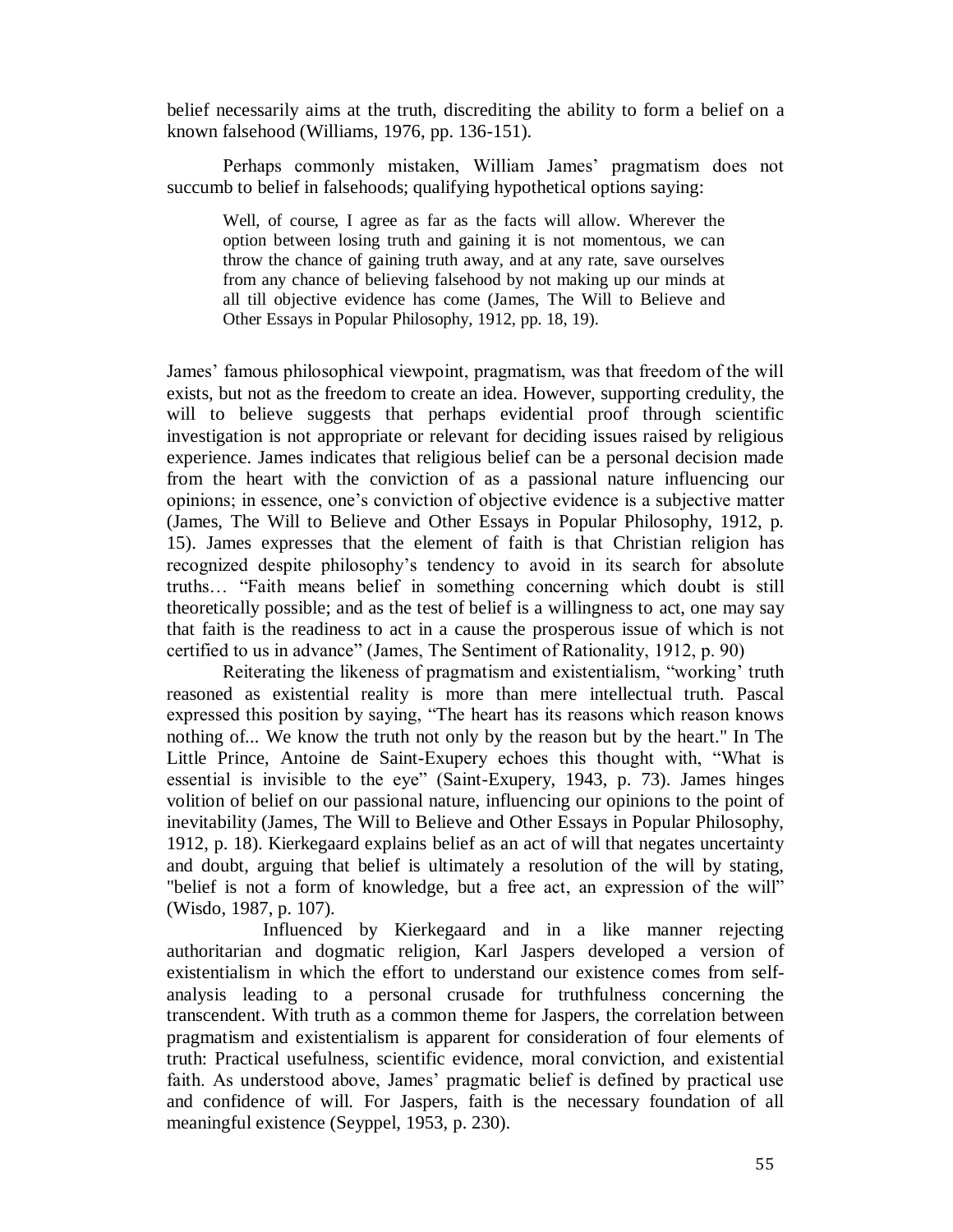belief necessarily aims at the truth, discrediting the ability to form a belief on a known falsehood (Williams, 1976, pp. 136-151).

Perhaps commonly mistaken, William James' pragmatism does not succumb to belief in falsehoods; qualifying hypothetical options saying:

Well, of course, I agree as far as the facts will allow. Wherever the option between losing truth and gaining it is not momentous, we can throw the chance of gaining truth away, and at any rate, save ourselves from any chance of believing falsehood by not making up our minds at all till objective evidence has come (James, The Will to Believe and Other Essays in Popular Philosophy, 1912, pp. 18, 19).

James' famous philosophical viewpoint, pragmatism, was that freedom of the will exists, but not as the freedom to create an idea. However, supporting credulity, the will to believe suggests that perhaps evidential proof through scientific investigation is not appropriate or relevant for deciding issues raised by religious experience. James indicates that religious belief can be a personal decision made from the heart with the conviction of as a passional nature influencing our opinions; in essence, one's conviction of objective evidence is a subjective matter (James, The Will to Believe and Other Essays in Popular Philosophy, 1912, p. 15). James expresses that the element of faith is that Christian religion has recognized despite philosophy's tendency to avoid in its search for absolute truths… "Faith means belief in something concerning which doubt is still theoretically possible; and as the test of belief is a willingness to act, one may say that faith is the readiness to act in a cause the prosperous issue of which is not certified to us in advance" (James, The Sentiment of Rationality, 1912, p. 90)

Reiterating the likeness of pragmatism and existentialism, "working' truth reasoned as existential reality is more than mere intellectual truth. Pascal expressed this position by saying, "The heart has its reasons which reason knows nothing of... We know the truth not only by the reason but by the heart." In The Little Prince, Antoine de Saint-Exupery echoes this thought with, "What is essential is invisible to the eye" (Saint-Exupery, 1943, p. 73). James hinges volition of belief on our passional nature, influencing our opinions to the point of inevitability (James, The Will to Believe and Other Essays in Popular Philosophy, 1912, p. 18). Kierkegaard explains belief as an act of will that negates uncertainty and doubt, arguing that belief is ultimately a resolution of the will by stating, "belief is not a form of knowledge, but a free act, an expression of the will" (Wisdo, 1987, p. 107).

Influenced by Kierkegaard and in a like manner rejecting authoritarian and dogmatic religion, Karl Jaspers developed a version of existentialism in which the effort to understand our existence comes from selfanalysis leading to a personal crusade for truthfulness concerning the transcendent. With truth as a common theme for Jaspers, the correlation between pragmatism and existentialism is apparent for consideration of four elements of truth: Practical usefulness, scientific evidence, moral conviction, and existential faith. As understood above, James' pragmatic belief is defined by practical use and confidence of will. For Jaspers, faith is the necessary foundation of all meaningful existence (Seyppel, 1953, p. 230).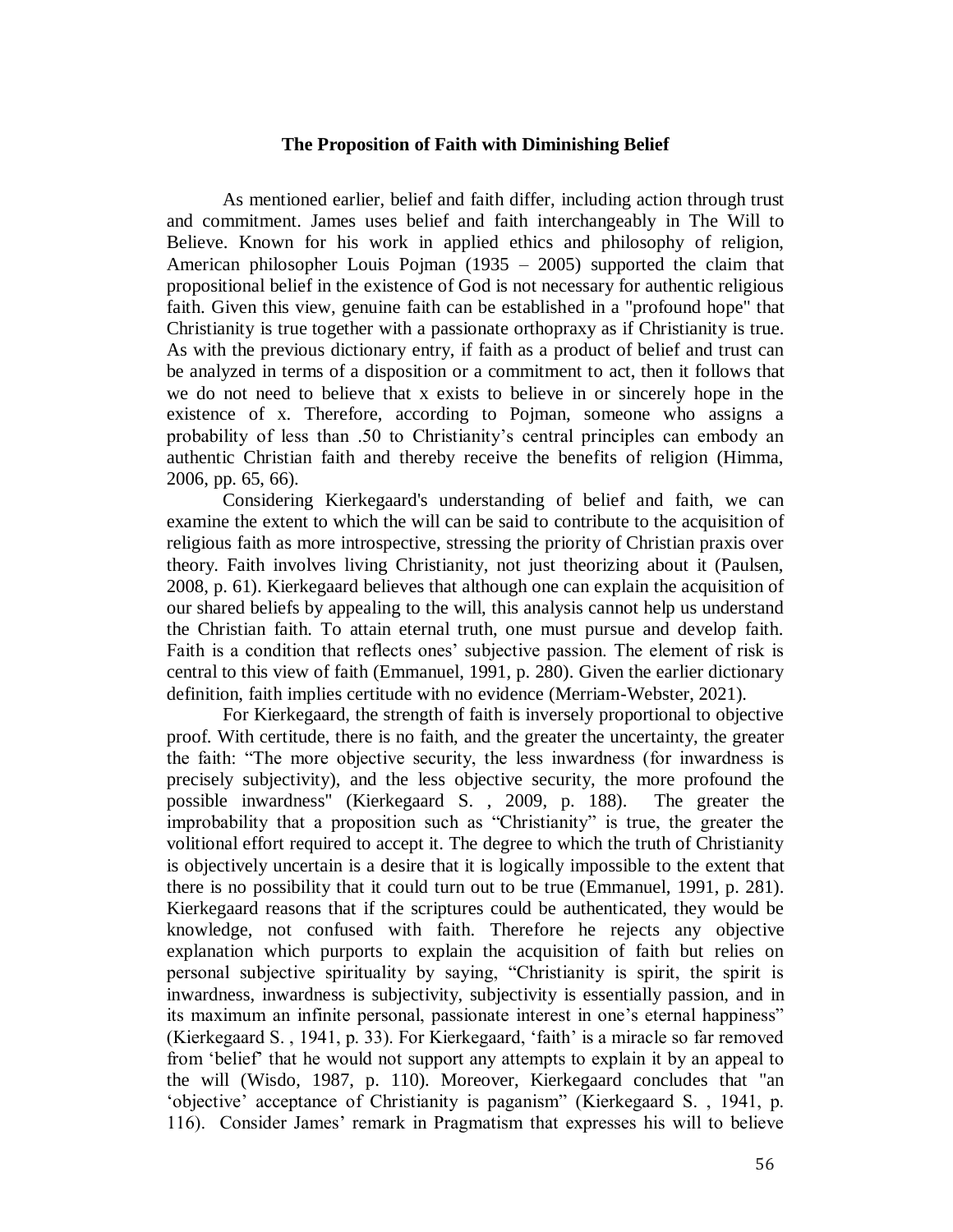#### **The Proposition of Faith with Diminishing Belief**

As mentioned earlier, belief and faith differ, including action through trust and commitment. James uses belief and faith interchangeably in The Will to Believe. Known for his work in applied ethics and philosophy of religion, American philosopher Louis Pojman (1935 – 2005) supported the claim that propositional belief in the existence of God is not necessary for authentic religious faith. Given this view, genuine faith can be established in a "profound hope" that Christianity is true together with a passionate orthopraxy as if Christianity is true. As with the previous dictionary entry, if faith as a product of belief and trust can be analyzed in terms of a disposition or a commitment to act, then it follows that we do not need to believe that x exists to believe in or sincerely hope in the existence of x. Therefore, according to Pojman, someone who assigns a probability of less than .50 to Christianity's central principles can embody an authentic Christian faith and thereby receive the benefits of religion (Himma, 2006, pp. 65, 66).

Considering Kierkegaard's understanding of belief and faith, we can examine the extent to which the will can be said to contribute to the acquisition of religious faith as more introspective, stressing the priority of Christian praxis over theory. Faith involves living Christianity, not just theorizing about it (Paulsen, 2008, p. 61). Kierkegaard believes that although one can explain the acquisition of our shared beliefs by appealing to the will, this analysis cannot help us understand the Christian faith. To attain eternal truth, one must pursue and develop faith. Faith is a condition that reflects ones' subjective passion. The element of risk is central to this view of faith (Emmanuel, 1991, p. 280). Given the earlier dictionary definition, faith implies certitude with no evidence (Merriam-Webster, 2021).

For Kierkegaard, the strength of faith is inversely proportional to objective proof. With certitude, there is no faith, and the greater the uncertainty, the greater the faith: "The more objective security, the less inwardness (for inwardness is precisely subjectivity), and the less objective security, the more profound the possible inwardness" (Kierkegaard S. , 2009, p. 188). The greater the improbability that a proposition such as "Christianity" is true, the greater the volitional effort required to accept it. The degree to which the truth of Christianity is objectively uncertain is a desire that it is logically impossible to the extent that there is no possibility that it could turn out to be true (Emmanuel, 1991, p. 281). Kierkegaard reasons that if the scriptures could be authenticated, they would be knowledge, not confused with faith. Therefore he rejects any objective explanation which purports to explain the acquisition of faith but relies on personal subjective spirituality by saying, "Christianity is spirit, the spirit is inwardness, inwardness is subjectivity, subjectivity is essentially passion, and in its maximum an infinite personal, passionate interest in one's eternal happiness" (Kierkegaard S. , 1941, p. 33). For Kierkegaard, 'faith' is a miracle so far removed from 'belief' that he would not support any attempts to explain it by an appeal to the will (Wisdo, 1987, p. 110). Moreover, Kierkegaard concludes that "an 'objective' acceptance of Christianity is paganism" (Kierkegaard S. , 1941, p. 116). Consider James' remark in Pragmatism that expresses his will to believe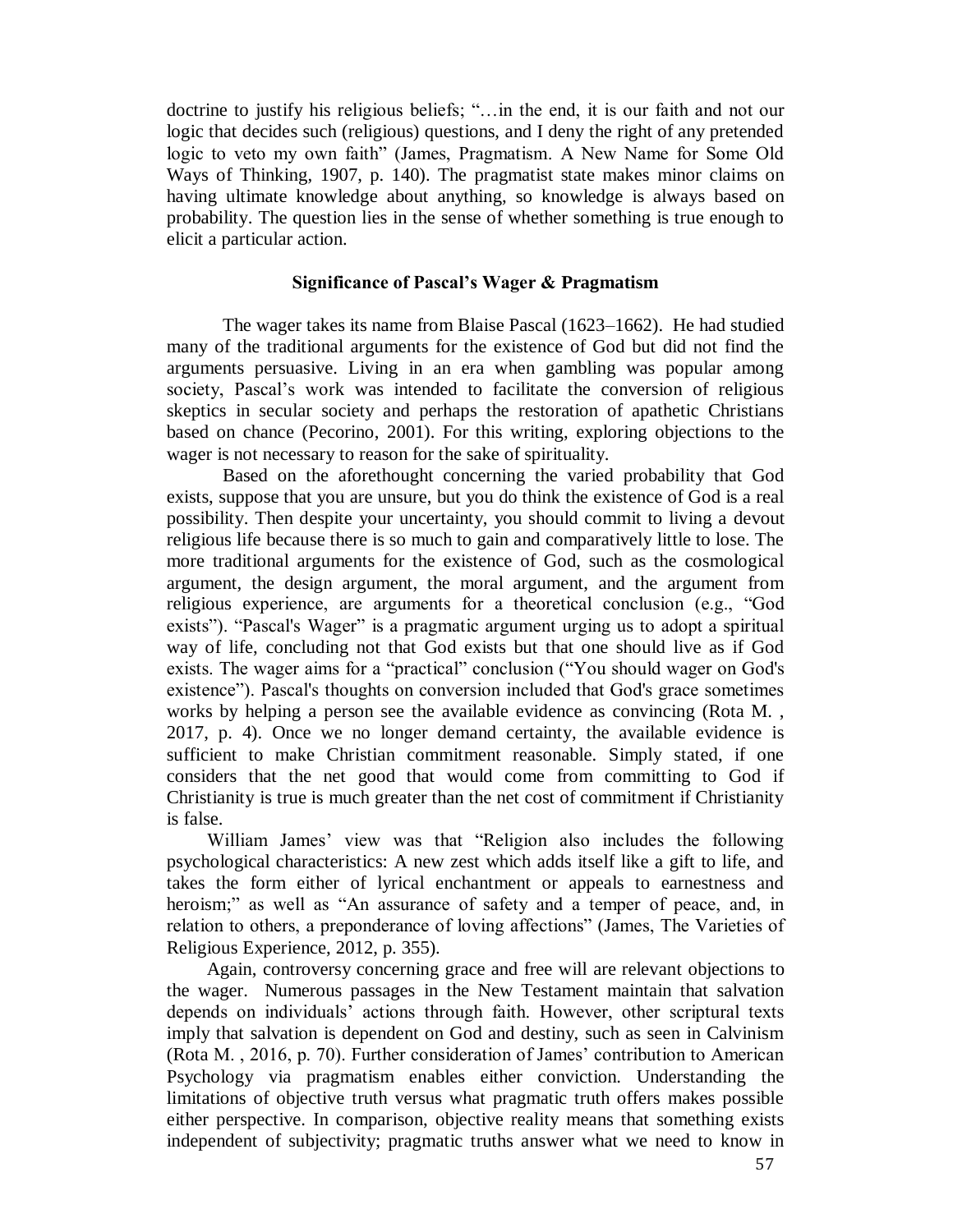doctrine to justify his religious beliefs; "…in the end, it is our faith and not our logic that decides such (religious) questions, and I deny the right of any pretended logic to veto my own faith" (James, Pragmatism. A New Name for Some Old Ways of Thinking, 1907, p. 140). The pragmatist state makes minor claims on having ultimate knowledge about anything, so knowledge is always based on probability. The question lies in the sense of whether something is true enough to elicit a particular action.

#### **Significance of Pascal's Wager & Pragmatism**

The wager takes its name from Blaise Pascal (1623–1662). He had studied many of the traditional arguments for the existence of God but did not find the arguments persuasive. Living in an era when gambling was popular among society, Pascal's work was intended to facilitate the conversion of religious skeptics in secular society and perhaps the restoration of apathetic Christians based on chance (Pecorino, 2001). For this writing, exploring objections to the wager is not necessary to reason for the sake of spirituality.

Based on the aforethought concerning the varied probability that God exists, suppose that you are unsure, but you do think the existence of God is a real possibility. Then despite your uncertainty, you should commit to living a devout religious life because there is so much to gain and comparatively little to lose. The more traditional arguments for the existence of God, such as the cosmological argument, the design argument, the moral argument, and the argument from religious experience, are arguments for a theoretical conclusion (e.g., "God exists"). "Pascal's Wager" is a pragmatic argument urging us to adopt a spiritual way of life, concluding not that God exists but that one should live as if God exists. The wager aims for a "practical" conclusion ("You should wager on God's existence"). Pascal's thoughts on conversion included that God's grace sometimes works by helping a person see the available evidence as convincing (Rota M. , 2017, p. 4). Once we no longer demand certainty, the available evidence is sufficient to make Christian commitment reasonable. Simply stated, if one considers that the net good that would come from committing to God if Christianity is true is much greater than the net cost of commitment if Christianity is false.

William James' view was that "Religion also includes the following psychological characteristics: A new zest which adds itself like a gift to life, and takes the form either of lyrical enchantment or appeals to earnestness and heroism;" as well as "An assurance of safety and a temper of peace, and, in relation to others, a preponderance of loving affections" (James, The Varieties of Religious Experience, 2012, p. 355).

Again, controversy concerning grace and free will are relevant objections to the wager. Numerous passages in the New Testament maintain that salvation depends on individuals' actions through faith. However, other scriptural texts imply that salvation is dependent on God and destiny, such as seen in Calvinism (Rota M. , 2016, p. 70). Further consideration of James' contribution to American Psychology via pragmatism enables either conviction. Understanding the limitations of objective truth versus what pragmatic truth offers makes possible either perspective. In comparison, objective reality means that something exists independent of subjectivity; pragmatic truths answer what we need to know in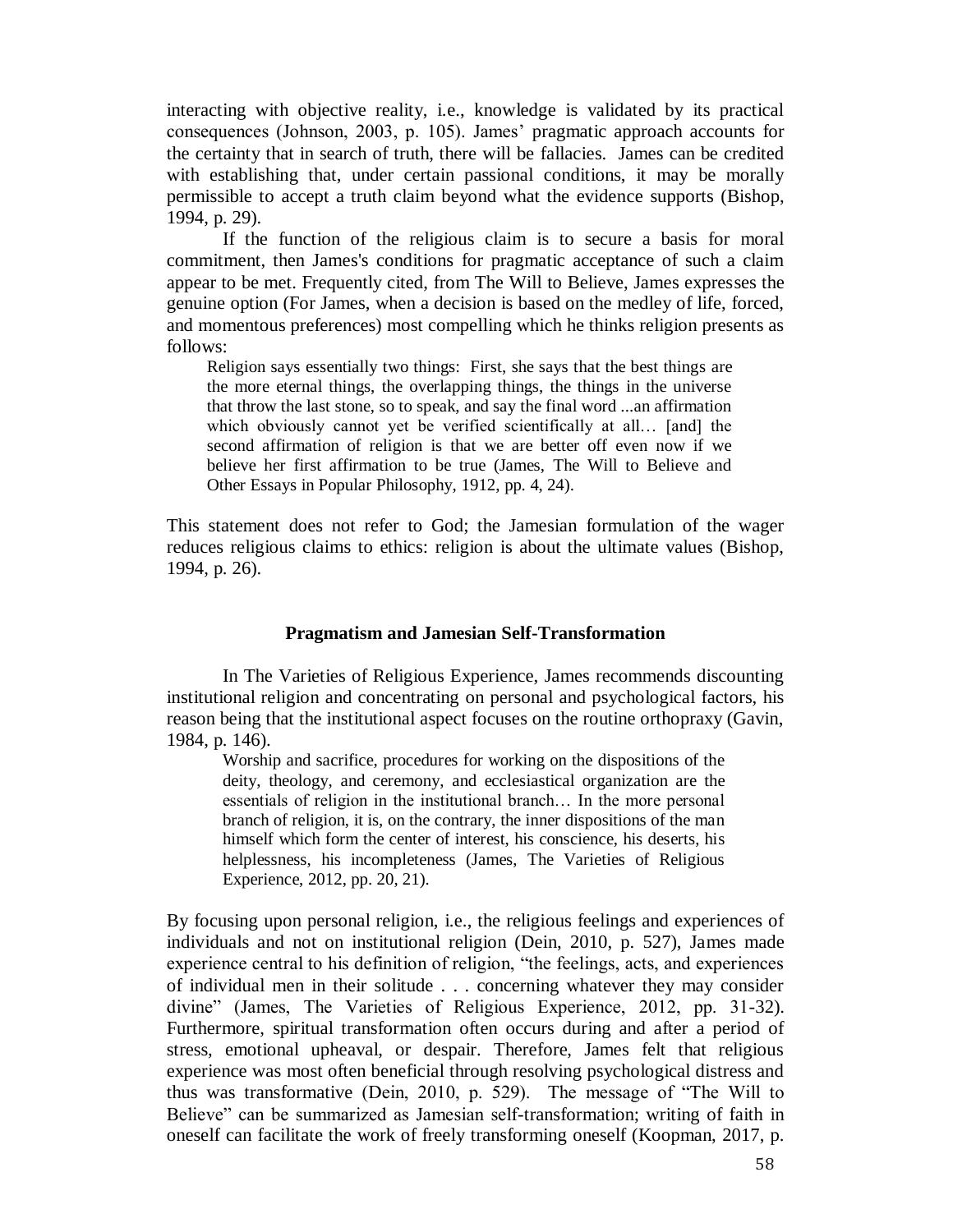interacting with objective reality, i.e., knowledge is validated by its practical consequences (Johnson, 2003, p. 105). James' pragmatic approach accounts for the certainty that in search of truth, there will be fallacies. James can be credited with establishing that, under certain passional conditions, it may be morally permissible to accept a truth claim beyond what the evidence supports (Bishop, 1994, p. 29).

If the function of the religious claim is to secure a basis for moral commitment, then James's conditions for pragmatic acceptance of such a claim appear to be met. Frequently cited, from The Will to Believe, James expresses the genuine option (For James, when a decision is based on the medley of life, forced, and momentous preferences) most compelling which he thinks religion presents as follows:

Religion says essentially two things: First, she says that the best things are the more eternal things, the overlapping things, the things in the universe that throw the last stone, so to speak, and say the final word ...an affirmation which obviously cannot yet be verified scientifically at all… [and] the second affirmation of religion is that we are better off even now if we believe her first affirmation to be true (James, The Will to Believe and Other Essays in Popular Philosophy, 1912, pp. 4, 24).

This statement does not refer to God; the Jamesian formulation of the wager reduces religious claims to ethics: religion is about the ultimate values (Bishop, 1994, p. 26).

#### **Pragmatism and Jamesian Self-Transformation**

In The Varieties of Religious Experience, James recommends discounting institutional religion and concentrating on personal and psychological factors, his reason being that the institutional aspect focuses on the routine orthopraxy (Gavin, 1984, p. 146).

Worship and sacrifice, procedures for working on the dispositions of the deity, theology, and ceremony, and ecclesiastical organization are the essentials of religion in the institutional branch… In the more personal branch of religion, it is, on the contrary, the inner dispositions of the man himself which form the center of interest, his conscience, his deserts, his helplessness, his incompleteness (James, The Varieties of Religious Experience, 2012, pp. 20, 21).

By focusing upon personal religion, i.e., the religious feelings and experiences of individuals and not on institutional religion (Dein, 2010, p. 527), James made experience central to his definition of religion, "the feelings, acts, and experiences of individual men in their solitude . . . concerning whatever they may consider divine" (James, The Varieties of Religious Experience, 2012, pp. 31-32). Furthermore, spiritual transformation often occurs during and after a period of stress, emotional upheaval, or despair. Therefore, James felt that religious experience was most often beneficial through resolving psychological distress and thus was transformative (Dein, 2010, p. 529). The message of "The Will to Believe" can be summarized as Jamesian self-transformation; writing of faith in oneself can facilitate the work of freely transforming oneself (Koopman, 2017, p.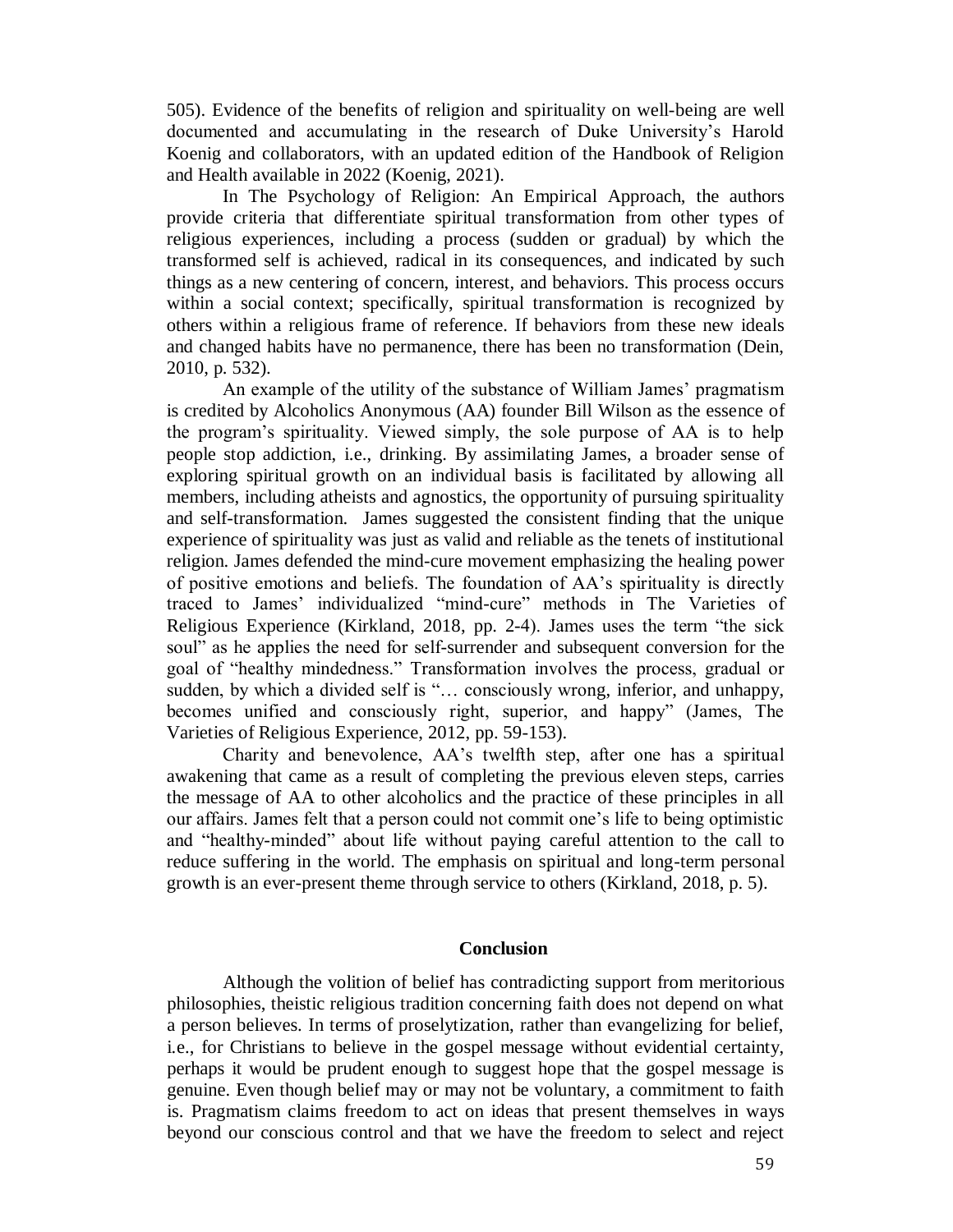505). Evidence of the benefits of religion and spirituality on well-being are well documented and accumulating in the research of Duke University's Harold Koenig and collaborators, with an updated edition of the Handbook of Religion and Health available in 2022 (Koenig, 2021).

In The Psychology of Religion: An Empirical Approach, the authors provide criteria that differentiate spiritual transformation from other types of religious experiences, including a process (sudden or gradual) by which the transformed self is achieved, radical in its consequences, and indicated by such things as a new centering of concern, interest, and behaviors. This process occurs within a social context; specifically, spiritual transformation is recognized by others within a religious frame of reference. If behaviors from these new ideals and changed habits have no permanence, there has been no transformation (Dein, 2010, p. 532).

An example of the utility of the substance of William James' pragmatism is credited by Alcoholics Anonymous (AA) founder Bill Wilson as the essence of the program's spirituality. Viewed simply, the sole purpose of AA is to help people stop addiction, i.e., drinking. By assimilating James, a broader sense of exploring spiritual growth on an individual basis is facilitated by allowing all members, including atheists and agnostics, the opportunity of pursuing spirituality and self-transformation. James suggested the consistent finding that the unique experience of spirituality was just as valid and reliable as the tenets of institutional religion. James defended the mind-cure movement emphasizing the healing power of positive emotions and beliefs. The foundation of AA's spirituality is directly traced to James' individualized "mind-cure" methods in The Varieties of Religious Experience (Kirkland, 2018, pp. 2-4). James uses the term "the sick soul" as he applies the need for self-surrender and subsequent conversion for the goal of "healthy mindedness." Transformation involves the process, gradual or sudden, by which a divided self is "… consciously wrong, inferior, and unhappy, becomes unified and consciously right, superior, and happy" (James, The Varieties of Religious Experience, 2012, pp. 59-153).

Charity and benevolence, AA's twelfth step, after one has a spiritual awakening that came as a result of completing the previous eleven steps, carries the message of AA to other alcoholics and the practice of these principles in all our affairs. James felt that a person could not commit one's life to being optimistic and "healthy-minded" about life without paying careful attention to the call to reduce suffering in the world. The emphasis on spiritual and long-term personal growth is an ever-present theme through service to others (Kirkland, 2018, p. 5).

#### **Conclusion**

Although the volition of belief has contradicting support from meritorious philosophies, theistic religious tradition concerning faith does not depend on what a person believes. In terms of proselytization, rather than evangelizing for belief, i.e., for Christians to believe in the gospel message without evidential certainty, perhaps it would be prudent enough to suggest hope that the gospel message is genuine. Even though belief may or may not be voluntary, a commitment to faith is. Pragmatism claims freedom to act on ideas that present themselves in ways beyond our conscious control and that we have the freedom to select and reject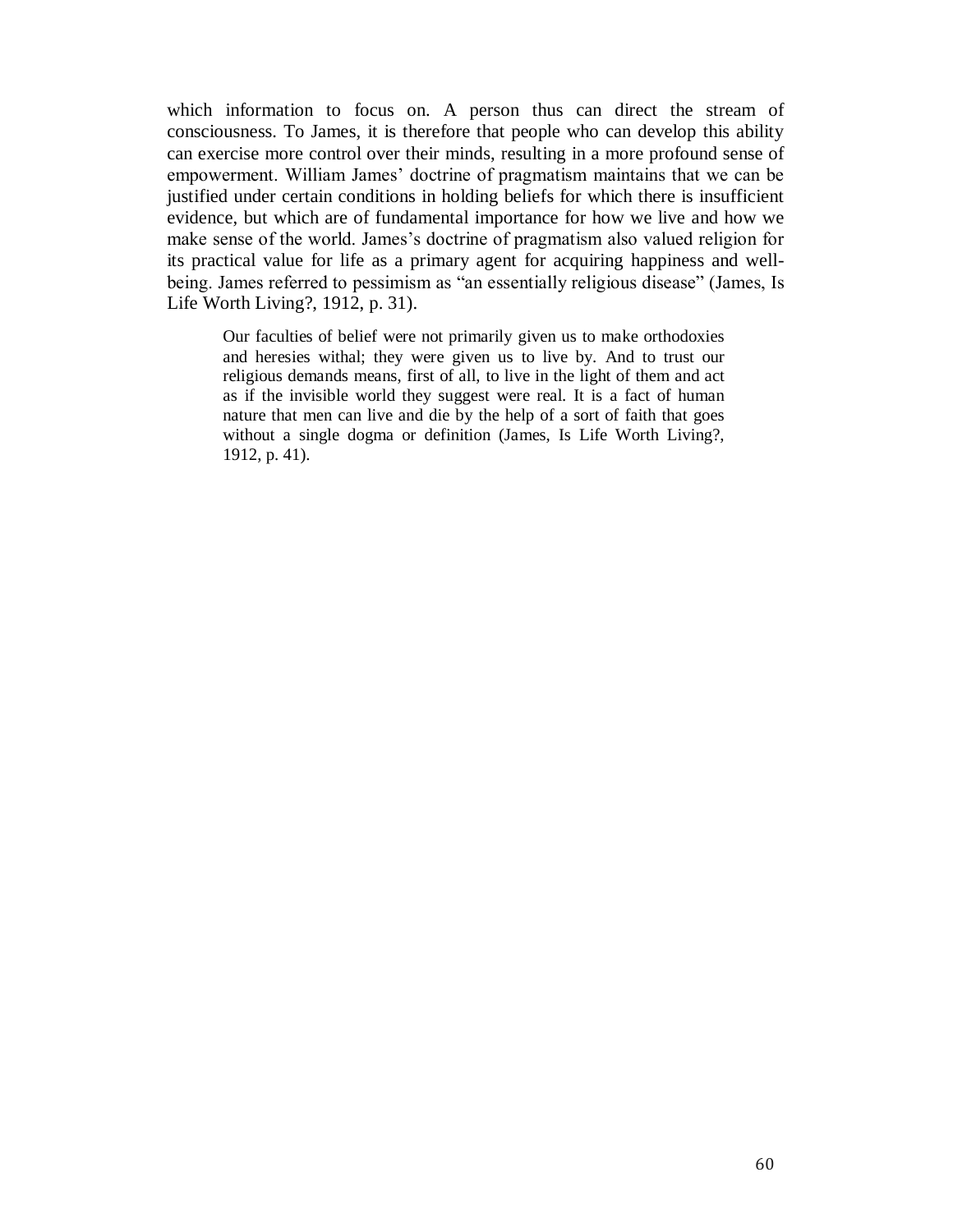which information to focus on. A person thus can direct the stream of consciousness. To James, it is therefore that people who can develop this ability can exercise more control over their minds, resulting in a more profound sense of empowerment. William James' doctrine of pragmatism maintains that we can be justified under certain conditions in holding beliefs for which there is insufficient evidence, but which are of fundamental importance for how we live and how we make sense of the world. James's doctrine of pragmatism also valued religion for its practical value for life as a primary agent for acquiring happiness and wellbeing. James referred to pessimism as "an essentially religious disease" (James, Is Life Worth Living?, 1912, p. 31).

Our faculties of belief were not primarily given us to make orthodoxies and heresies withal; they were given us to live by. And to trust our religious demands means, first of all, to live in the light of them and act as if the invisible world they suggest were real. It is a fact of human nature that men can live and die by the help of a sort of faith that goes without a single dogma or definition (James, Is Life Worth Living?, 1912, p. 41).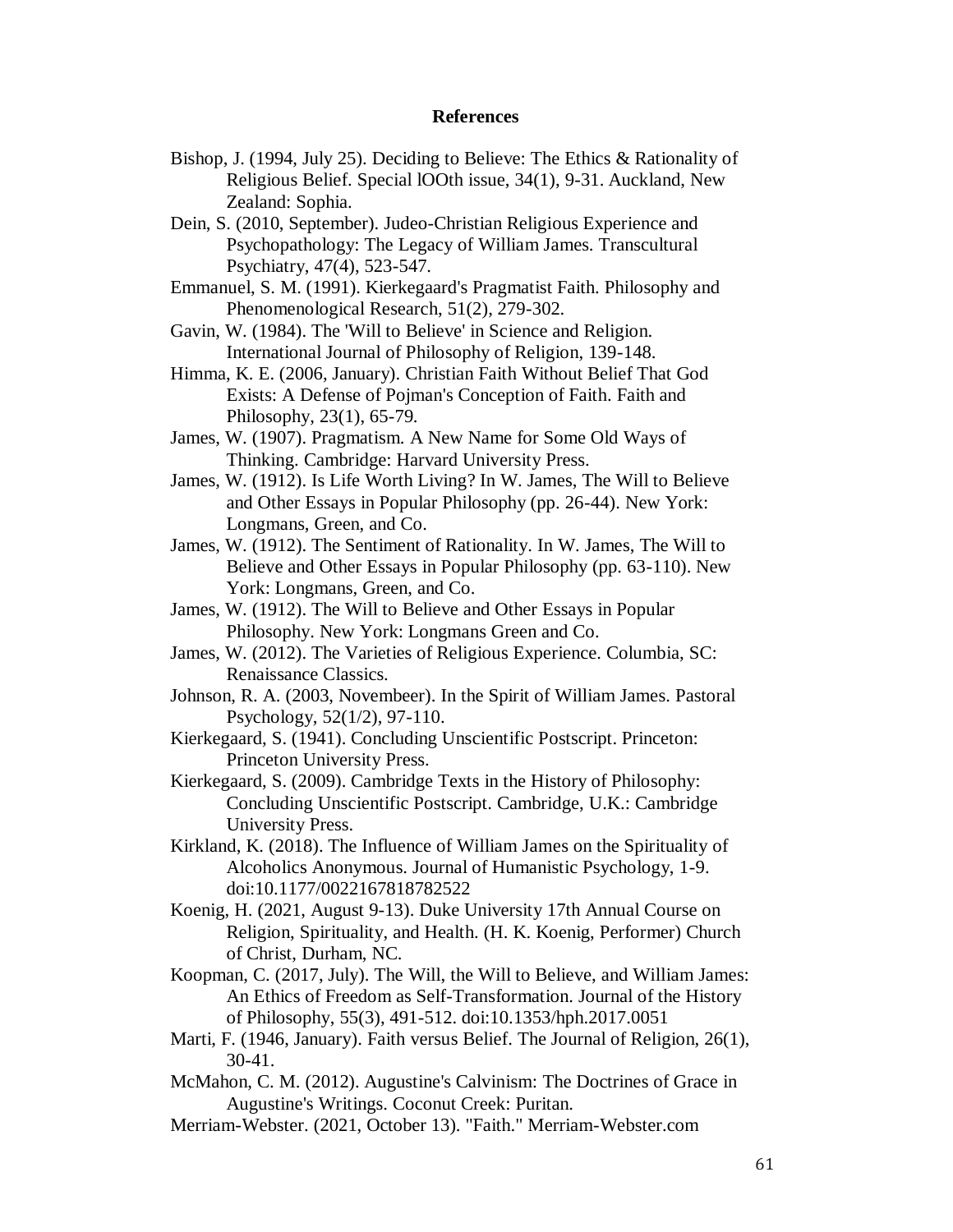#### **References**

- Bishop, J. (1994, July 25). Deciding to Believe: The Ethics & Rationality of Religious Belief. Special lOOth issue, 34(1), 9-31. Auckland, New Zealand: Sophia.
- Dein, S. (2010, September). Judeo-Christian Religious Experience and Psychopathology: The Legacy of William James. Transcultural Psychiatry, 47(4), 523-547.
- Emmanuel, S. M. (1991). Kierkegaard's Pragmatist Faith. Philosophy and Phenomenological Research, 51(2), 279-302.
- Gavin, W. (1984). The 'Will to Believe' in Science and Religion. International Journal of Philosophy of Religion, 139-148.
- Himma, K. E. (2006, January). Christian Faith Without Belief That God Exists: A Defense of Pojman's Conception of Faith. Faith and Philosophy, 23(1), 65-79.
- James, W. (1907). Pragmatism. A New Name for Some Old Ways of Thinking. Cambridge: Harvard University Press.
- James, W. (1912). Is Life Worth Living? In W. James, The Will to Believe and Other Essays in Popular Philosophy (pp. 26-44). New York: Longmans, Green, and Co.
- James, W. (1912). The Sentiment of Rationality. In W. James, The Will to Believe and Other Essays in Popular Philosophy (pp. 63-110). New York: Longmans, Green, and Co.
- James, W. (1912). The Will to Believe and Other Essays in Popular Philosophy. New York: Longmans Green and Co.
- James, W. (2012). The Varieties of Religious Experience. Columbia, SC: Renaissance Classics.
- Johnson, R. A. (2003, Novembeer). In the Spirit of William James. Pastoral Psychology, 52(1/2), 97-110.
- Kierkegaard, S. (1941). Concluding Unscientific Postscript. Princeton: Princeton University Press.
- Kierkegaard, S. (2009). Cambridge Texts in the History of Philosophy: Concluding Unscientific Postscript. Cambridge, U.K.: Cambridge University Press.
- Kirkland, K. (2018). The Influence of William James on the Spirituality of Alcoholics Anonymous. Journal of Humanistic Psychology, 1-9. doi:10.1177/0022167818782522
- Koenig, H. (2021, August 9-13). Duke University 17th Annual Course on Religion, Spirituality, and Health. (H. K. Koenig, Performer) Church of Christ, Durham, NC.
- Koopman, C. (2017, July). The Will, the Will to Believe, and William James: An Ethics of Freedom as Self-Transformation. Journal of the History of Philosophy, 55(3), 491-512. doi:10.1353/hph.2017.0051
- Marti, F. (1946, January). Faith versus Belief. The Journal of Religion, 26(1), 30-41.
- McMahon, C. M. (2012). Augustine's Calvinism: The Doctrines of Grace in Augustine's Writings. Coconut Creek: Puritan.
- Merriam-Webster. (2021, October 13). "Faith." Merriam-Webster.com